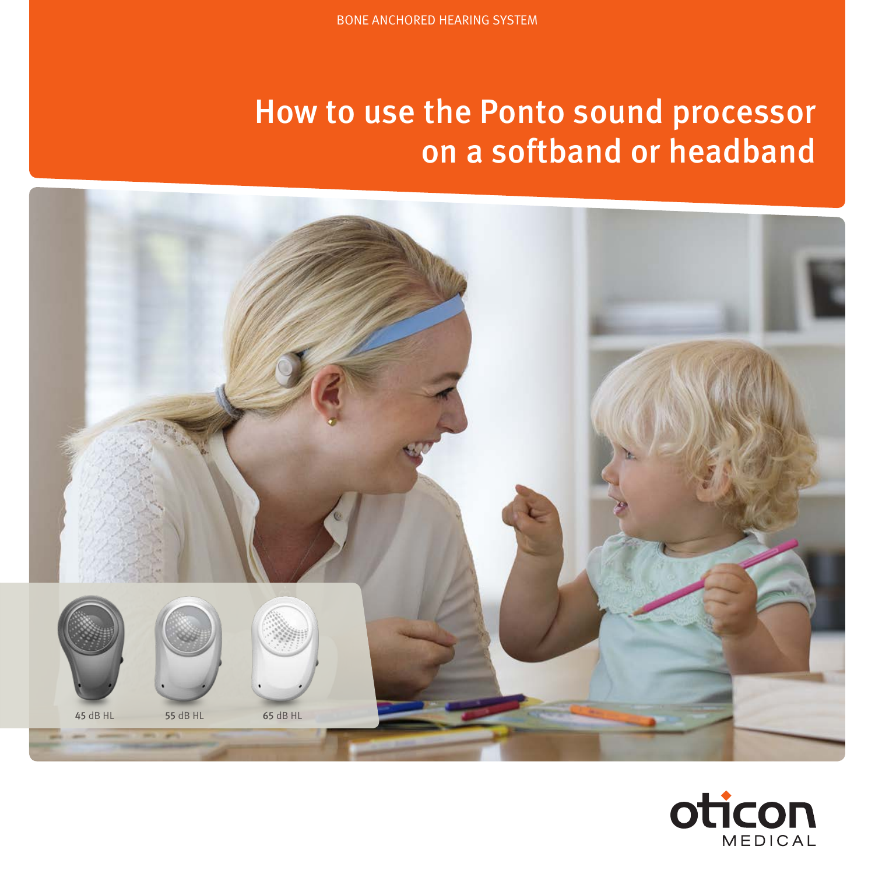# How to use the Ponto sound processor on a softband or headband



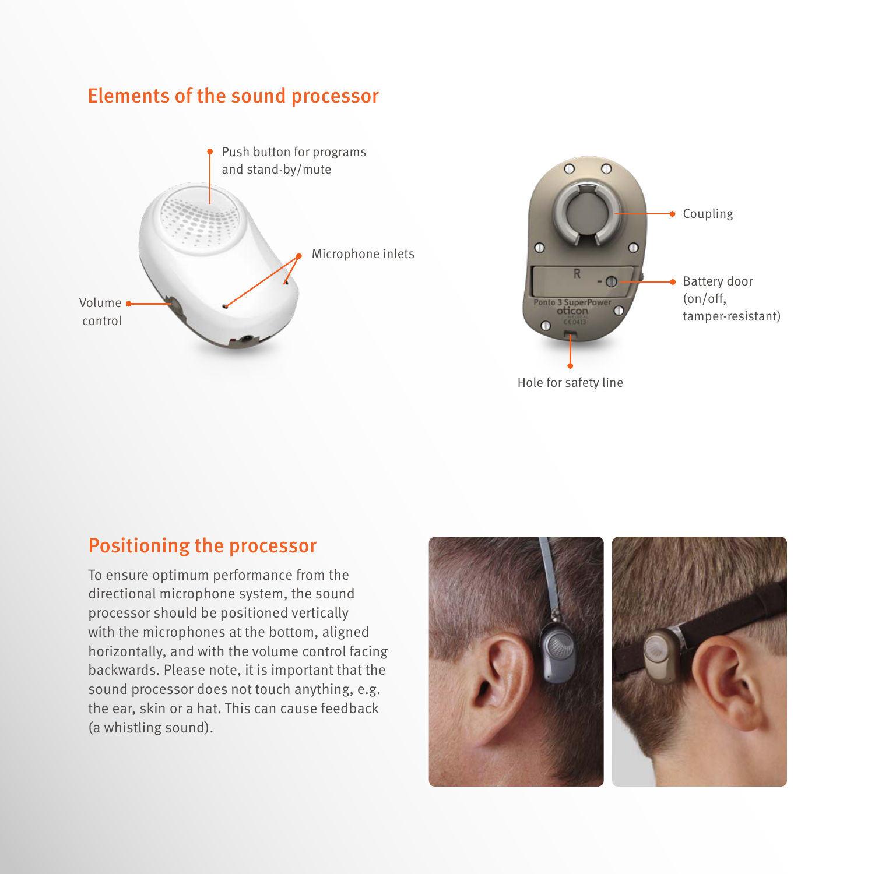#### Elements of the sound processor





#### Positioning the processor

To ensure optimum performance from the directional microphone system, the sound processor should be positioned vertically with the microphones at the bottom, aligned horizontally, and with the volume control facing backwards. Please note, it is important that the sound processor does not touch anything, e.g. the ear, skin or a hat. This can cause feedback (a whistling sound).

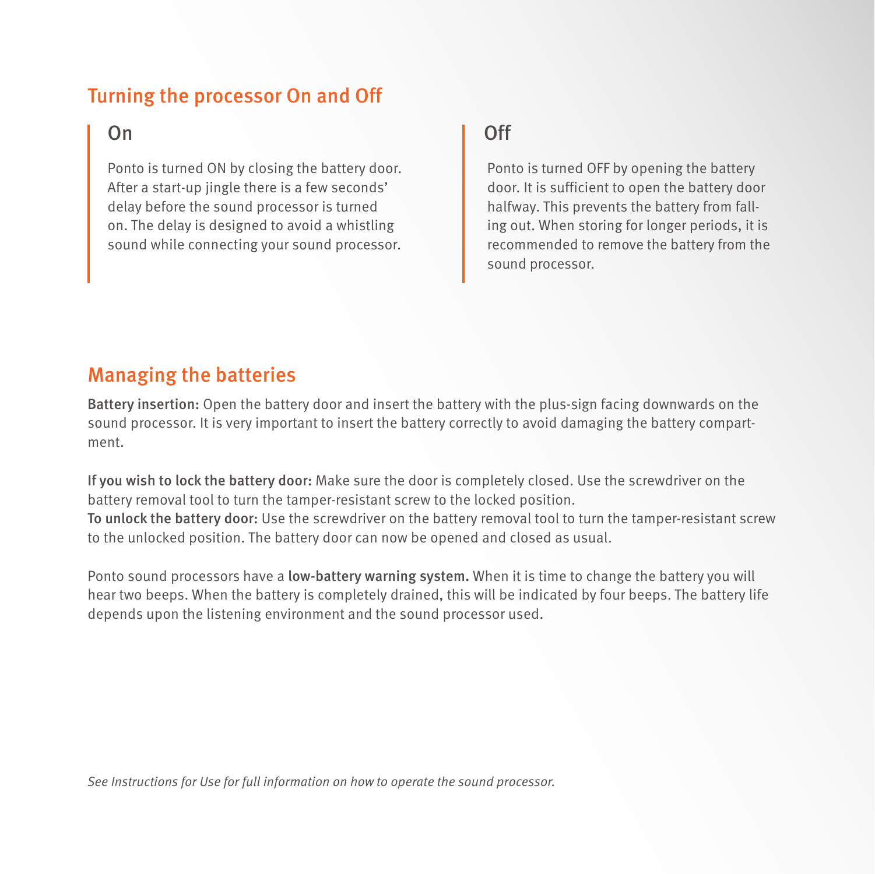## Turning the processor On and Off

Ponto is turned ON by closing the battery door. After a start-up jingle there is a few seconds' delay before the sound processor is turned on. The delay is designed to avoid a whistling sound while connecting your sound processor.

## On **On** Off

Ponto is turned OFF by opening the battery door. It is sufficient to open the battery door halfway. This prevents the battery from falling out. When storing for longer periods, it is recommended to remove the battery from the sound processor.

#### Managing the batteries

Battery insertion: Open the battery door and insert the battery with the plus-sign facing downwards on the sound processor. It is very important to insert the battery correctly to avoid damaging the battery compartment.

If you wish to lock the battery door: Make sure the door is completely closed. Use the screwdriver on the battery removal tool to turn the tamper-resistant screw to the locked position. To unlock the battery door: Use the screwdriver on the battery removal tool to turn the tamper-resistant screw to the unlocked position. The battery door can now be opened and closed as usual.

Ponto sound processors have a low-battery warning system. When it is time to change the battery you will hear two beeps. When the battery is completely drained, this will be indicated by four beeps. The battery life depends upon the listening environment and the sound processor used.

*See Instructions for Use for full information on how to operate the sound processor.*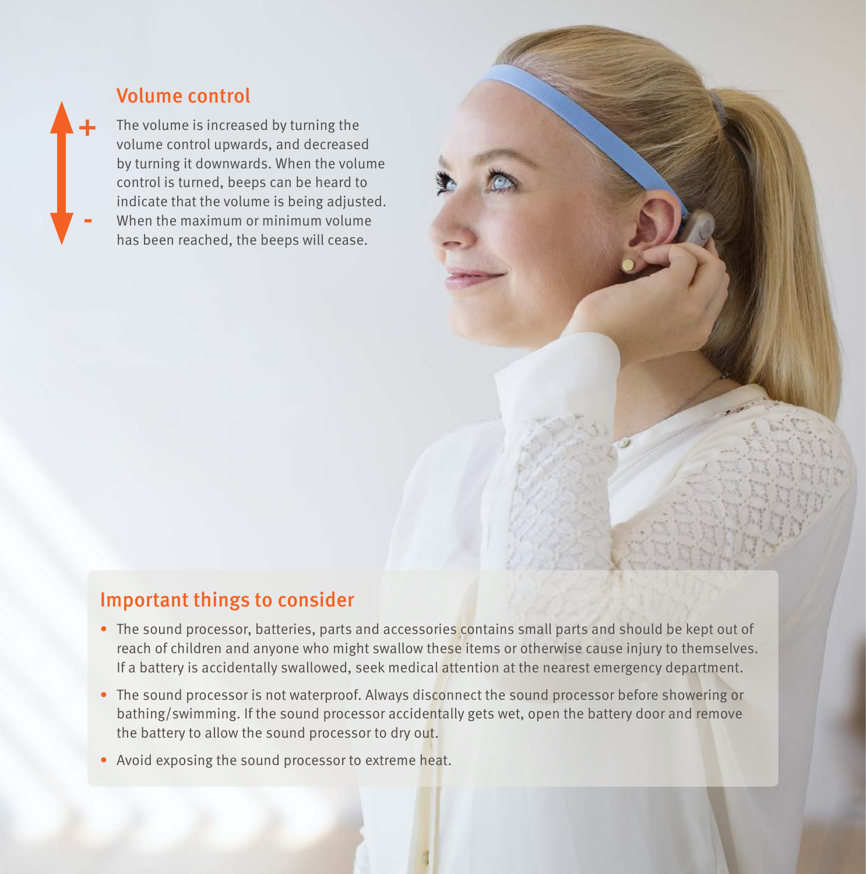

#### Volume control

The volume is increased by turning the When the maximum or minimum volume has been reached, the beeps will cease.



#### $\mathcal{L}_{\mathcal{A}}$  is a risk that the matrix or batteries by burning them. The  $\mathcal{L}_{\mathcal{A}}$  that they will then they will then the  $\mathcal{L}_{\mathcal{A}}$ Important things to consider

- The sound processor, batteries, parts and accessories contains small parts and should be kept out of  $\mathbf{r}_1$  the sound processor is not waterproof. Always disconnect the sound processor before showering or bath- $\mathbf{r}_2$  is not always disconnect the sound processor before showering or bath- $\mathbf{r}_1$ If a battery is accidentally swallowed, seek medical attention at the nearest emergency department.  $\blacksquare$ reach of children and anyone who might swallow these items or otherwise cause injury to themselves.
- The sound processor is not waterproof. Always disconnect the sound processor before showering or • Avoid exposing the sound processor to extreme heat. the battery to allow the sound processor to dry out. bathing/swimming. If the sound processor accidentally gets wet, open the battery door and remove
	- Avoid exposing the sound processor to extreme heat.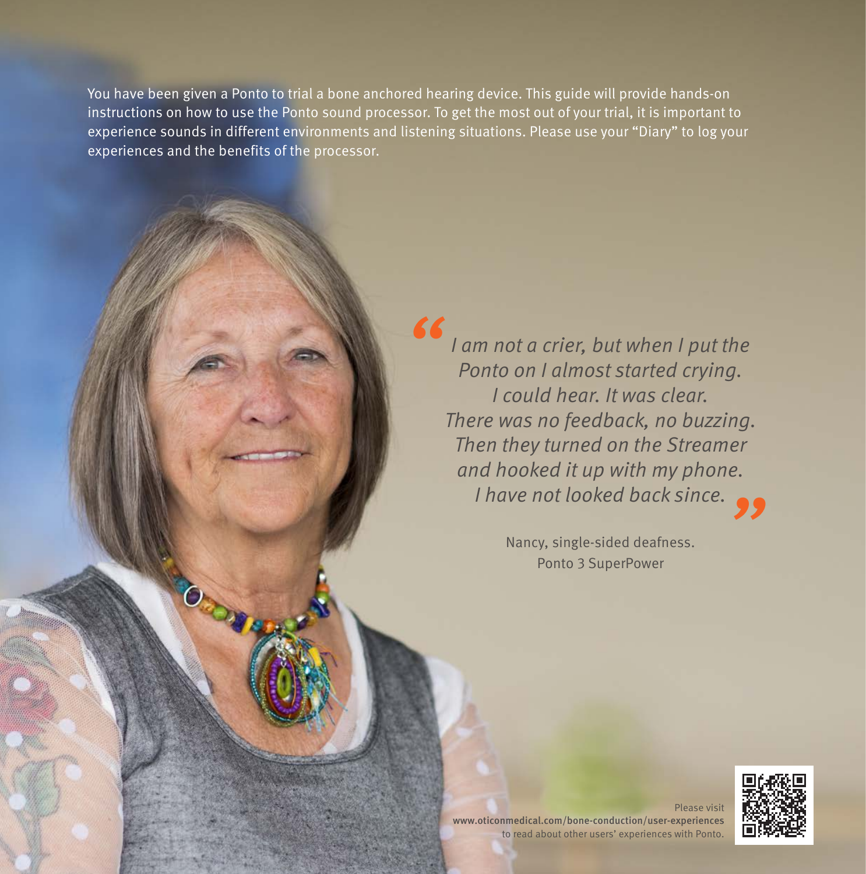You have been given a Ponto to trial a bone anchored hearing device. This guide will provide hands-on instructions on how to use the Ponto sound processor. To get the most out of your trial, it is important to experience sounds in different environments and listening situations. Please use your "Diary" to log your experiences and the benefits of the processor.

*"*

*I am not a crier, but when I put the Ponto on I almost started crying. I could hear. It was clear. There was no feedback, no buzzing. Then they turned on the Streamer and hooked it up with my phone. I have not looked back since. "*

Nancy, single-sided deafness. Ponto 3 SuperPower

Please visit www.oticonmedical.com/bone-conduction/user-experiences to read about other users' experiences with Ponto.